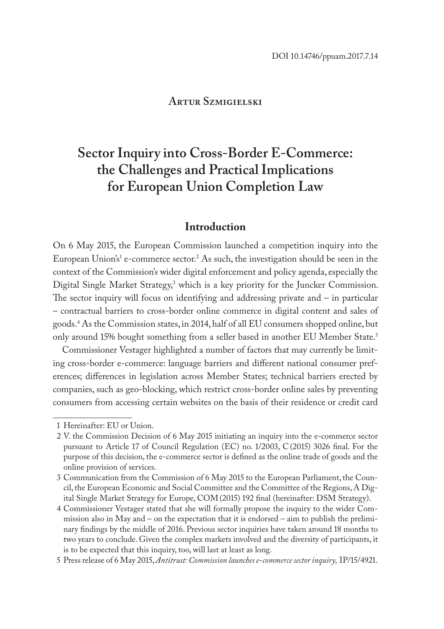# **Artur Szmigielski**

# **Sector Inquiry into Cross-Border E-Commerce: the Challenges and Practical Implications for European Union Completion Law**

## **Introduction**

On 6 May 2015, the European Commission launched a competition inquiry into the European Union's<sup>1</sup> e-commerce sector.<sup>2</sup> As such, the investigation should be seen in the context of the Commission's wider digital enforcement and policy agenda, especially the Digital Single Market Strategy,<sup>3</sup> which is a key priority for the Juncker Commission. The sector inquiry will focus on identifying and addressing private and – in particular – contractual barriers to cross-border online commerce in digital content and sales of goods.4 As the Commission states, in 2014, half of all EU consumers shopped online, but only around 15% bought something from a seller based in another EU Member State.<sup>5</sup>

Commissioner Vestager highlighted a number of factors that may currently be limiting cross-border e-commerce: language barriers and different national consumer preferences; differences in legislation across Member States; technical barriers erected by companies, such as geo-blocking, which restrict cross-border online sales by preventing consumers from accessing certain websites on the basis of their residence or credit card

<sup>1</sup> Hereinafter: EU or Union.

<sup>2</sup> V. the Commission Decision of 6 May 2015 initiating an inquiry into the e-commerce sector pursuant to Article 17 of Council Regulation (EC) no. 1/2003, C(2015) 3026 final. For the purpose of this decision, the e-commerce sector is defined as the online trade of goods and the online provision of services.

<sup>3</sup> Communication from the Commission of 6 May 2015 to the European Parliament, the Council, the European Economic and Social Committee and the Committee of the Regions, A Digital Single Market Strategy for Europe, COM(2015) 192 final (hereinafter: DSM Strategy).

<sup>4</sup> Commissioner Vestager stated that she will formally propose the inquiry to the wider Commission also in May and – on the expectation that it is endorsed – aim to publish the preliminary findings by the middle of 2016. Previous sector inquiries have taken around 18 months to two years to conclude. Given the complex markets involved and the diversity of participants, it is to be expected that this inquiry, too, will last at least as long.

<sup>5</sup> Press release of 6 May 2015, *Antitrust: Commission launches e-commerce sector inquiry,* IP/15/4921.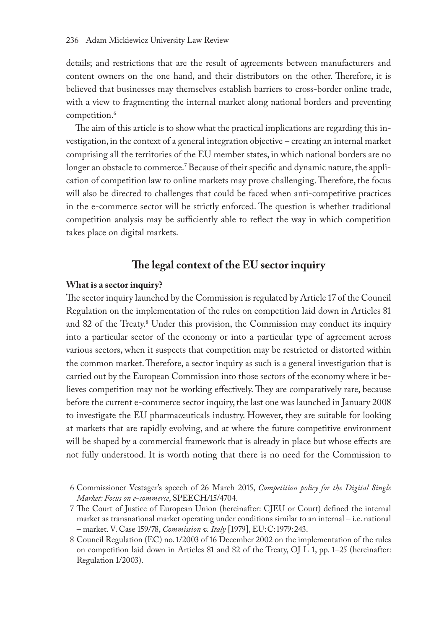details; and restrictions that are the result of agreements between manufacturers and content owners on the one hand, and their distributors on the other. Therefore, it is believed that businesses may themselves establish barriers to cross-border online trade, with a view to fragmenting the internal market along national borders and preventing competition.<sup>6</sup>

The aim of this article is to show what the practical implications are regarding this investigation, in the context of a general integration objective – creating an internal market comprising all the territories of the EU member states, in which national borders are no longer an obstacle to commerce.' Because of their specific and dynamic nature, the application of competition law to online markets may prove challenging. Therefore, the focus will also be directed to challenges that could be faced when anti-competitive practices in the e-commerce sector will be strictly enforced. The question is whether traditional competition analysis may be sufficiently able to reflect the way in which competition takes place on digital markets.

# **The legal context of the EU sector inquiry**

#### **What is a sector inquiry?**

The sector inquiry launched by the Commission is regulated by Article 17 of the Council Regulation on the implementation of the rules on competition laid down in Articles 81 and 82 of the Treaty.<sup>8</sup> Under this provision, the Commission may conduct its inquiry into a particular sector of the economy or into a particular type of agreement across various sectors, when it suspects that competition may be restricted or distorted within the common market. Therefore, a sector inquiry as such is a general investigation that is carried out by the European Commission into those sectors of the economy where it believes competition may not be working effectively. They are comparatively rare, because before the current e-commerce sector inquiry, the last one was launched in January 2008 to investigate the EU pharmaceuticals industry. However, they are suitable for looking at markets that are rapidly evolving, and at where the future competitive environment will be shaped by a commercial framework that is already in place but whose effects are not fully understood. It is worth noting that there is no need for the Commission to

<sup>6</sup> Commissioner Vestager's speech of 26 March 2015, *Competition policy for the Digital Single Market: Focus on e-commerce*, SPEECH/15/4704.

<sup>7</sup> The Court of Justice of European Union (hereinafter: CJEU or Court) defined the internal market as transnational market operating under conditions similar to an internal – i.e. national – market. V. Case 159/78, *Commission v. Italy* [1979], EU:C:1979:243.

<sup>8</sup> Council Regulation (EC) no. 1/2003 of 16 December 2002 on the implementation of the rules on competition laid down in Articles 81 and 82 of the Treaty, OJ L 1, pp. 1–25 (hereinafter: Regulation 1/2003).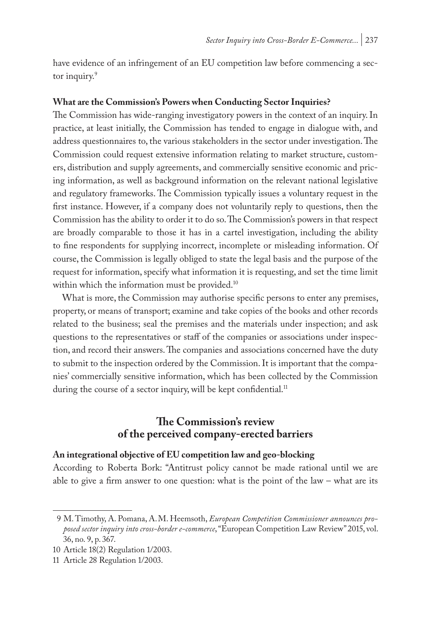have evidence of an infringement of an EU competition law before commencing a sector inquiry.<sup>9</sup>

#### **What are the Commission's Powers when Conducting Sector Inquiries?**

The Commission has wide-ranging investigatory powers in the context of an inquiry. In practice, at least initially, the Commission has tended to engage in dialogue with, and address questionnaires to, the various stakeholders in the sector under investigation. The Commission could request extensive information relating to market structure, customers, distribution and supply agreements, and commercially sensitive economic and pricing information, as well as background information on the relevant national legislative and regulatory frameworks. The Commission typically issues a voluntary request in the first instance. However, if a company does not voluntarily reply to questions, then the Commission has the ability to order it to do so. The Commission's powers in that respect are broadly comparable to those it has in a cartel investigation, including the ability to fine respondents for supplying incorrect, incomplete or misleading information. Of course, the Commission is legally obliged to state the legal basis and the purpose of the request for information, specify what information it is requesting, and set the time limit within which the information must be provided.<sup>10</sup>

What is more, the Commission may authorise specific persons to enter any premises, property, or means of transport; examine and take copies of the books and other records related to the business; seal the premises and the materials under inspection; and ask questions to the representatives or staff of the companies or associations under inspection, and record their answers. The companies and associations concerned have the duty to submit to the inspection ordered by the Commission. It is important that the companies' commercially sensitive information, which has been collected by the Commission during the course of a sector inquiry, will be kept confidential.<sup>11</sup>

## **The Commission's review of the perceived company-erected barriers**

#### **An integrational objective of EU competition law and geo-blocking**

According to Roberta Bork: "Antitrust policy cannot be made rational until we are able to give a firm answer to one question: what is the point of the law – what are its

<sup>9</sup> M. Timothy, A. Pomana, A.M. Heemsoth, *European Competition Commissioner announces proposed sector inquiry into cross-border e-commerce*, "European Competition Law Review" 2015, vol. 36, no. 9, p. 367.

<sup>10</sup> Article 18(2) Regulation 1/2003.

<sup>11</sup> Article 28 Regulation 1/2003.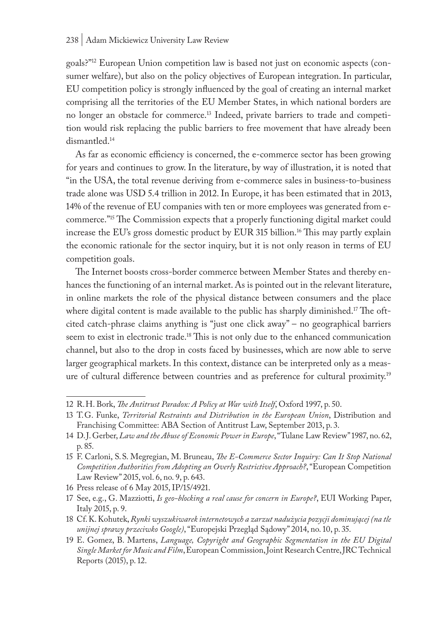goals?"12 European Union competition law is based not just on economic aspects (consumer welfare), but also on the policy objectives of European integration. In particular, EU competition policy is strongly influenced by the goal of creating an internal market comprising all the territories of the EU Member States, in which national borders are no longer an obstacle for commerce.13 Indeed, private barriers to trade and competition would risk replacing the public barriers to free movement that have already been dismantled.14

As far as economic efficiency is concerned, the e-commerce sector has been growing for years and continues to grow. In the literature, by way of illustration, it is noted that "in the USA, the total revenue deriving from e-commerce sales in business-to-business trade alone was USD 5.4 trillion in 2012. In Europe, it has been estimated that in 2013, 14% of the revenue of EU companies with ten or more employees was generated from ecommerce."15 The Commission expects that a properly functioning digital market could increase the EU's gross domestic product by EUR 315 billion.16 This may partly explain the economic rationale for the sector inquiry, but it is not only reason in terms of EU competition goals.

The Internet boosts cross-border commerce between Member States and thereby enhances the functioning of an internal market. As is pointed out in the relevant literature, in online markets the role of the physical distance between consumers and the place where digital content is made available to the public has sharply diminished.<sup>17</sup> The oftcited catch-phrase claims anything is "just one click away" – no geographical barriers seem to exist in electronic trade.18 This is not only due to the enhanced communication channel, but also to the drop in costs faced by businesses, which are now able to serve larger geographical markets. In this context, distance can be interpreted only as a measure of cultural difference between countries and as preference for cultural proximity.19

<sup>12</sup> R.H. Bork, *The Antitrust Paradox: A Policy at War with Itself*, Oxford 1997, p. 50.

<sup>13</sup> T.G. Funke, *Territorial Restraints and Distribution in the European Union*, Distribution and Franchising Committee: ABA Section of Antitrust Law, September 2013, p. 3.

<sup>14</sup> D.J. Gerber, *Law and the Abuse of Economic Power in Europe*, "Tulane Law Review" 1987, no. 62, p. 85.

<sup>15</sup> F. Carloni, S.S. Megregian, M. Bruneau, *The E-Commerce Sector Inquiry: Can It Stop National Competition Authorities from Adopting an Overly Restrictive Approach?*, "European Competition Law Review" 2015, vol. 6, no. 9, p. 643.

<sup>16</sup> Press release of 6 May 2015, IP/15/4921.

<sup>17</sup> See, e.g., G. Mazziotti, *Is geo-blocking a real cause for concern in Europe?*, EUI Working Paper, Italy 2015, p. 9.

<sup>18</sup> Cf. K. Kohutek, *Rynki wyszukiwarek internetowych a zarzut nadużycia pozycji dominującej (na tle unijnej sprawy przeciwko Google)*, "Europejski Przegląd Sądowy" 2014, no. 10, p. 35.

<sup>19</sup> E. Gomez, B. Martens, *Language, Copyright and Geographic Segmentation in the EU Digital Single Market for Music and Film*, European Commission, Joint Research Centre, JRC Technical Reports (2015), p. 12.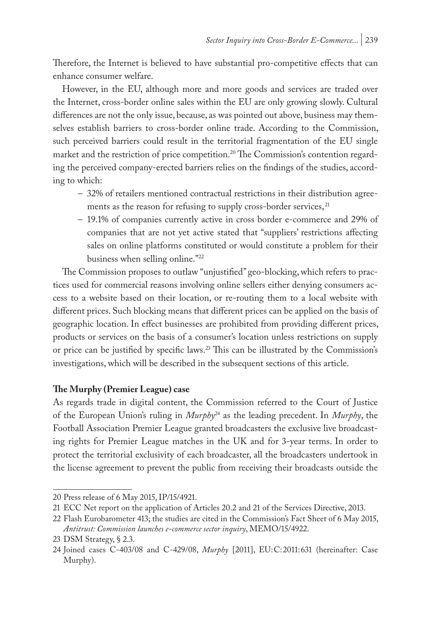Therefore, the Internet is believed to have substantial pro-competitive effects that can enhance consumer welfare.

However, in the EU, although more and more goods and services are traded over the Internet, cross-border online sales within the EU are only growing slowly. Cultural differences are not the only issue, because, as was pointed out above, business may themselves establish barriers to cross-border online trade. According to the Commission, such perceived barriers could result in the territorial fragmentation of the EU single market and the restriction of price competition.<sup>20</sup> The Commission's contention regarding the perceived company-erected barriers relies on the findings of the studies, according to which:

- 32% of retailers mentioned contractual restrictions in their distribution agreements as the reason for refusing to supply cross-border services, <sup>21</sup>
- 19.1% of companies currently active in cross border e-commerce and 29% of companies that are not yet active stated that "suppliers' restrictions affecting sales on online platforms constituted or would constitute a problem for their business when selling online."22

The Commission proposes to outlaw "unjustified" geo-blocking, which refers to practices used for commercial reasons involving online sellers either denying consumers access to a website based on their location, or re-routing them to a local website with different prices. Such blocking means that different prices can be applied on the basis of geographic location. In effect businesses are prohibited from providing different prices, products or services on the basis of a consumer's location unless restrictions on supply or price can be justified by specific laws.23 This can be illustrated by the Commission's investigations, which will be described in the subsequent sections of this article.

## **The Murphy (Premier League) case**

As regards trade in digital content, the Commission referred to the Court of Justice of the European Union's ruling in *Murphy*24 as the leading precedent. In *Murphy*, the Football Association Premier League granted broadcasters the exclusive live broadcasting rights for Premier League matches in the UK and for 3-year terms. In order to protect the territorial exclusivity of each broadcaster, all the broadcasters undertook in the license agreement to prevent the public from receiving their broadcasts outside the

<sup>20</sup> Press release of 6 May 2015, IP/15/4921.

<sup>21</sup> ECC Net report on the application of Articles 20.2 and 21 of the Services Directive, 2013.

<sup>22</sup> Flash Eurobarometer 413; the studies are cited in the Commission's Fact Sheet of 6 May 2015, *Antitrust: Commission launches e-commerce sector inquiry*, MEMO/15/4922.

<sup>23</sup> DSM Strategy, § 2.3.

<sup>24</sup> Joined cases C-403/08 and C-429/08, *Murphy* [2011], EU:C:2011:631 (hereinafter: Case Murphy).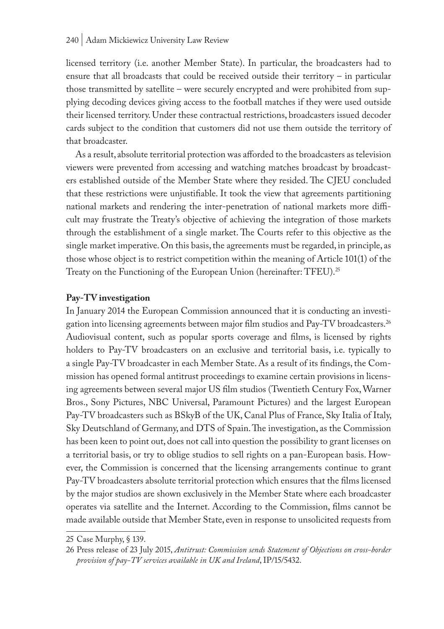licensed territory (i.e. another Member State). In particular, the broadcasters had to ensure that all broadcasts that could be received outside their territory – in particular those transmitted by satellite – were securely encrypted and were prohibited from supplying decoding devices giving access to the football matches if they were used outside their licensed territory. Under these contractual restrictions, broadcasters issued decoder cards subject to the condition that customers did not use them outside the territory of that broadcaster.

As a result, absolute territorial protection was afforded to the broadcasters as television viewers were prevented from accessing and watching matches broadcast by broadcasters established outside of the Member State where they resided. The CJEU concluded that these restrictions were unjustifiable. It took the view that agreements partitioning national markets and rendering the inter-penetration of national markets more difficult may frustrate the Treaty's objective of achieving the integration of those markets through the establishment of a single market. The Courts refer to this objective as the single market imperative. On this basis, the agreements must be regarded, in principle, as those whose object is to restrict competition within the meaning of Article 101(1) of the Treaty on the Functioning of the European Union (hereinafter: TFEU).25

## **Pay-TV investigation**

In January 2014 the European Commission announced that it is conducting an investigation into licensing agreements between major film studios and Pay-TV broadcasters.26 Audiovisual content, such as popular sports coverage and films, is licensed by rights holders to Pay-TV broadcasters on an exclusive and territorial basis, i.e. typically to a single Pay-TV broadcaster in each Member State. As a result of its findings, the Commission has opened formal antitrust proceedings to examine certain provisions in licensing agreements between several major US film studios (Twentieth Century Fox, Warner Bros., Sony Pictures, NBC Universal, Paramount Pictures) and the largest European Pay-TV broadcasters such as BSkyB of the UK, Canal Plus of France, Sky Italia of Italy, Sky Deutschland of Germany, and DTS of Spain. The investigation, as the Commission has been keen to point out, does not call into question the possibility to grant licenses on a territorial basis, or try to oblige studios to sell rights on a pan-European basis. However, the Commission is concerned that the licensing arrangements continue to grant Pay-TV broadcasters absolute territorial protection which ensures that the films licensed by the major studios are shown exclusively in the Member State where each broadcaster operates via satellite and the Internet. According to the Commission, films cannot be made available outside that Member State, even in response to unsolicited requests from

<sup>25</sup> Case Murphy, § 139.

<sup>26</sup> Press release of 23 July 2015, *Antitrust: Commission sends Statement of Objections on cross-border provision of pay-TV services available in UK and Ireland*, IP/15/5432.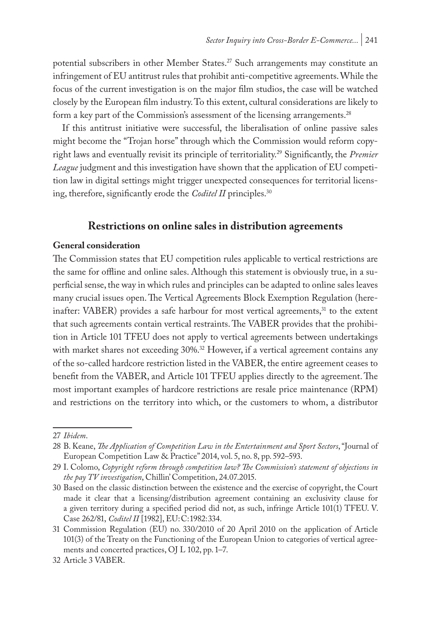potential subscribers in other Member States.<sup>27</sup> Such arrangements may constitute an infringement of EU antitrust rules that prohibit anti-competitive agreements. While the focus of the current investigation is on the major film studios, the case will be watched closely by the European film industry. To this extent, cultural considerations are likely to form a key part of the Commission's assessment of the licensing arrangements.<sup>28</sup>

If this antitrust initiative were successful, the liberalisation of online passive sales might become the "Trojan horse" through which the Commission would reform copyright laws and eventually revisit its principle of territoriality.29 Significantly, the *Premier League* judgment and this investigation have shown that the application of EU competition law in digital settings might trigger unexpected consequences for territorial licensing, therefore, significantly erode the *Coditel II* principles.<sup>30</sup>

## **Restrictions on online sales in distribution agreements**

## **General consideration**

The Commission states that EU competition rules applicable to vertical restrictions are the same for offline and online sales. Although this statement is obviously true, in a superficial sense, the way in which rules and principles can be adapted to online sales leaves many crucial issues open. The Vertical Agreements Block Exemption Regulation (hereinafter:  $VABER$ ) provides a safe harbour for most vertical agreements, $31$  to the extent that such agreements contain vertical restraints. The VABER provides that the prohibition in Article 101 TFEU does not apply to vertical agreements between undertakings with market shares not exceeding  $30\%$ .<sup>32</sup> However, if a vertical agreement contains any of the so-called hardcore restriction listed in the VABER, the entire agreement ceases to benefit from the VABER, and Article 101 TFEU applies directly to the agreement. The most important examples of hardcore restrictions are resale price maintenance (RPM) and restrictions on the territory into which, or the customers to whom, a distributor

<sup>27</sup> *Ibidem*.

<sup>28</sup> B. Keane, *The Application of Competition Law in the Entertainment and Sport Sectors*, "Journal of European Competition Law & Practice" 2014, vol. 5, no. 8, pp. 592–593.

<sup>29</sup> I. Colomo, *Copyright reform through competition law? The Commission's statement of objections in the pay TV investigation*, Chillin' Competition, 24.07.2015.

<sup>30</sup> Based on the classic distinction between the existence and the exercise of copyright, the Court made it clear that a licensing/distribution agreement containing an exclusivity clause for a given territory during a specified period did not, as such, infringe Article 101(1) TFEU. V. Case 262/81, *Coditel II* [1982], EU:C:1982:334.

<sup>31</sup> Commission Regulation (EU) no. 330/2010 of 20 April 2010 on the application of Article 101(3) of the Treaty on the Functioning of the European Union to categories of vertical agreements and concerted practices, OJ L 102, pp. 1–7.

<sup>32</sup> Article 3 VABER.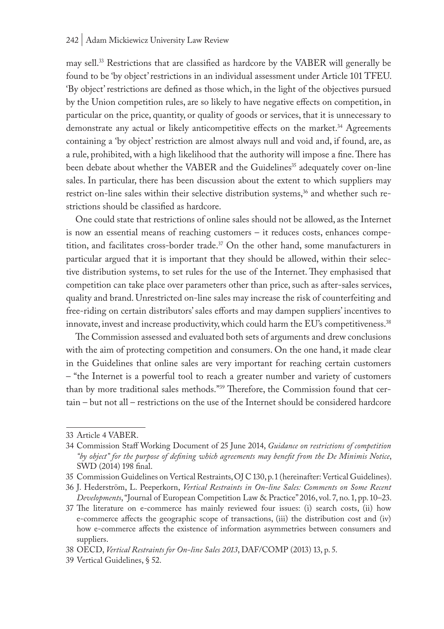may sell.33 Restrictions that are classified as hardcore by the VABER will generally be found to be 'by object' restrictions in an individual assessment under Article 101 TFEU. 'By object' restrictions are defined as those which, in the light of the objectives pursued by the Union competition rules, are so likely to have negative effects on competition, in particular on the price, quantity, or quality of goods or services, that it is unnecessary to demonstrate any actual or likely anticompetitive effects on the market.<sup>34</sup> Agreements containing a 'by object' restriction are almost always null and void and, if found, are, as a rule, prohibited, with a high likelihood that the authority will impose a fine. There has been debate about whether the VABER and the Guidelines<sup>35</sup> adequately cover on-line sales. In particular, there has been discussion about the extent to which suppliers may restrict on-line sales within their selective distribution systems,<sup>36</sup> and whether such restrictions should be classified as hardcore.

One could state that restrictions of online sales should not be allowed, as the Internet is now an essential means of reaching customers – it reduces costs, enhances competition, and facilitates cross-border trade.<sup>37</sup> On the other hand, some manufacturers in particular argued that it is important that they should be allowed, within their selective distribution systems, to set rules for the use of the Internet. They emphasised that competition can take place over parameters other than price, such as after-sales services, quality and brand. Unrestricted on-line sales may increase the risk of counterfeiting and free-riding on certain distributors' sales efforts and may dampen suppliers' incentives to innovate, invest and increase productivity, which could harm the EU's competitiveness.<sup>38</sup>

The Commission assessed and evaluated both sets of arguments and drew conclusions with the aim of protecting competition and consumers. On the one hand, it made clear in the Guidelines that online sales are very important for reaching certain customers – "the Internet is a powerful tool to reach a greater number and variety of customers than by more traditional sales methods."39 Therefore, the Commission found that certain – but not all – restrictions on the use of the Internet should be considered hardcore

<sup>33</sup> Article 4 VABER.

<sup>34</sup> Commission Staff Working Document of 25 June 2014, *Guidance on restrictions of competition "by object" for the purpose of defining which agreements may benefit from the De Minimis Notice*, SWD (2014) 198 final.

<sup>35</sup> Commission Guidelines on Vertical Restraints, OJ C 130, p. 1 (hereinafter: Vertical Guidelines).

<sup>36</sup> J. Hederström, L. Peeperkorn, *Vertical Restraints in On-line Sales: Comments on Some Recent Developments*, "Journal of European Competition Law & Practice" 2016, vol. 7, no. 1, pp. 10–23.

<sup>37</sup> The literature on e-commerce has mainly reviewed four issues: (i) search costs, (ii) how e-commerce affects the geographic scope of transactions, (iii) the distribution cost and (iv) how e-commerce affects the existence of information asymmetries between consumers and suppliers.

<sup>38</sup> OECD, *Vertical Restraints for On-line Sales 2013*, DAF/COMP (2013) 13, p. 5.

<sup>39</sup> Vertical Guidelines, § 52.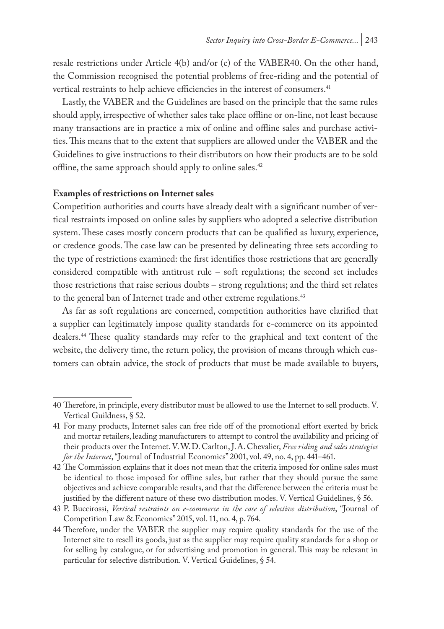resale restrictions under Article 4(b) and/or (c) of the VABER40. On the other hand, the Commission recognised the potential problems of free-riding and the potential of vertical restraints to help achieve efficiencies in the interest of consumers.<sup>41</sup>

Lastly, the VABER and the Guidelines are based on the principle that the same rules should apply, irrespective of whether sales take place offline or on-line, not least because many transactions are in practice a mix of online and offline sales and purchase activities. This means that to the extent that suppliers are allowed under the VABER and the Guidelines to give instructions to their distributors on how their products are to be sold offline, the same approach should apply to online sales.<sup>42</sup>

#### **Examples of restrictions on Internet sales**

Competition authorities and courts have already dealt with a significant number of vertical restraints imposed on online sales by suppliers who adopted a selective distribution system. These cases mostly concern products that can be qualified as luxury, experience, or credence goods. The case law can be presented by delineating three sets according to the type of restrictions examined: the first identifies those restrictions that are generally considered compatible with antitrust rule – soft regulations; the second set includes those restrictions that raise serious doubts – strong regulations; and the third set relates to the general ban of Internet trade and other extreme regulations.<sup>43</sup>

As far as soft regulations are concerned, competition authorities have clarified that a supplier can legitimately impose quality standards for e-commerce on its appointed dealers.44 These quality standards may refer to the graphical and text content of the website, the delivery time, the return policy, the provision of means through which customers can obtain advice, the stock of products that must be made available to buyers,

<sup>40</sup> Therefore, in principle, every distributor must be allowed to use the Internet to sell products. V. Vertical Guildness, § 52.

<sup>41</sup> For many products, Internet sales can free ride off of the promotional effort exerted by brick and mortar retailers, leading manufacturers to attempt to control the availability and pricing of their products over the Internet. V. W.D. Carlton, J.A. Chevalier, *Free riding and sales strategies for the Internet*, "Journal of Industrial Economics" 2001, vol. 49, no. 4, pp. 441–461.

<sup>42</sup> The Commission explains that it does not mean that the criteria imposed for online sales must be identical to those imposed for offline sales, but rather that they should pursue the same objectives and achieve comparable results, and that the difference between the criteria must be justified by the different nature of these two distribution modes. V. Vertical Guidelines, § 56.

<sup>43</sup> P. Buccirossi, *Vertical restraints on e-commerce in the case of selective distribution*, "Journal of Competition Law & Economics" 2015, vol. 11, no. 4, p. 764.

<sup>44</sup> Therefore, under the VABER the supplier may require quality standards for the use of the Internet site to resell its goods, just as the supplier may require quality standards for a shop or for selling by catalogue, or for advertising and promotion in general. This may be relevant in particular for selective distribution. V. Vertical Guidelines, § 54.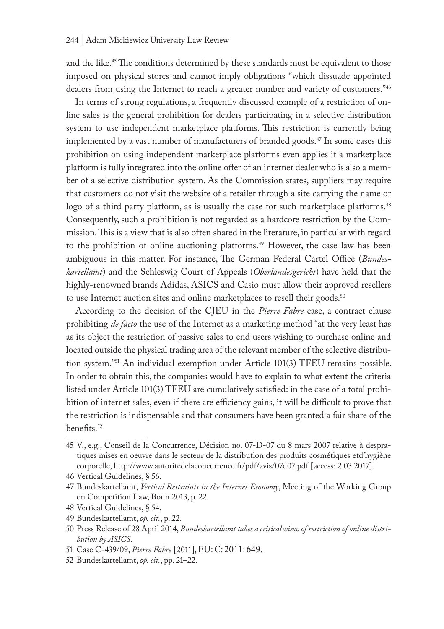and the like.<sup>45</sup> The conditions determined by these standards must be equivalent to those imposed on physical stores and cannot imply obligations "which dissuade appointed dealers from using the Internet to reach a greater number and variety of customers."46

In terms of strong regulations, a frequently discussed example of a restriction of online sales is the general prohibition for dealers participating in a selective distribution system to use independent marketplace platforms. This restriction is currently being implemented by a vast number of manufacturers of branded goods.<sup>47</sup> In some cases this prohibition on using independent marketplace platforms even applies if a marketplace platform is fully integrated into the online offer of an internet dealer who is also a member of a selective distribution system. As the Commission states, suppliers may require that customers do not visit the website of a retailer through a site carrying the name or logo of a third party platform, as is usually the case for such marketplace platforms.<sup>48</sup> Consequently, such a prohibition is not regarded as a hardcore restriction by the Commission. This is a view that is also often shared in the literature, in particular with regard to the prohibition of online auctioning platforms.<sup>49</sup> However, the case law has been ambiguous in this matter. For instance, The German Federal Cartel Office (*Bundeskartellamt*) and the Schleswig Court of Appeals (*Oberlandesgericht*) have held that the highly-renowned brands Adidas, ASICS and Casio must allow their approved resellers to use Internet auction sites and online marketplaces to resell their goods.<sup>50</sup>

According to the decision of the CJEU in the *Pierre Fabre* case, a contract clause prohibiting *de facto* the use of the Internet as a marketing method "at the very least has as its object the restriction of passive sales to end users wishing to purchase online and located outside the physical trading area of the relevant member of the selective distribution system."51 An individual exemption under Article 101(3) TFEU remains possible. In order to obtain this, the companies would have to explain to what extent the criteria listed under Article 101(3) TFEU are cumulatively satisfied: in the case of a total prohibition of internet sales, even if there are efficiency gains, it will be difficult to prove that the restriction is indispensable and that consumers have been granted a fair share of the benefits.<sup>52</sup>

<sup>45</sup> V., e.g., Conseil de la Concurrence, Décision no. 07-D-07 du 8 mars 2007 relative à despratiques mises en oeuvre dans le secteur de la distribution des produits cosmétiques etd'hygiène corporelle, http://www.autoritedelaconcurrence.fr/pdf/avis/07d07.pdf [access: 2.03.2017].

<sup>46</sup> Vertical Guidelines, § 56.

<sup>47</sup> Bundeskartellamt, *Vertical Restraints in the Internet Economy*, Meeting of the Working Group on Competition Law, Bonn 2013, p. 22.

<sup>48</sup> Vertical Guidelines, § 54.

<sup>49</sup> Bundeskartellamt, *op. cit.*, p. 22.

<sup>50</sup> Press Release of 28 April 2014, *Bundeskartellamt takes a critical view of restriction of online distribution by ASICS*.

<sup>51</sup> Case C-439/09, *Pierre Fabre* [2011], EU:C:2011: 649.

<sup>52</sup> Bundeskartellamt, *op. cit.*, pp. 21–22.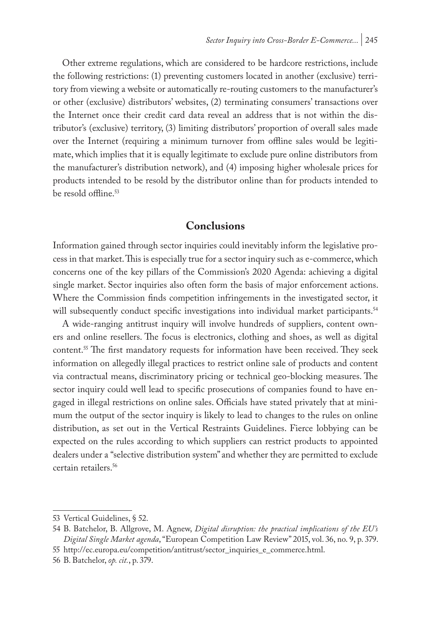Other extreme regulations, which are considered to be hardcore restrictions, include the following restrictions: (1) preventing customers located in another (exclusive) territory from viewing a website or automatically re-routing customers to the manufacturer's or other (exclusive) distributors' websites, (2) terminating consumers' transactions over the Internet once their credit card data reveal an address that is not within the distributor's (exclusive) territory, (3) limiting distributors' proportion of overall sales made over the Internet (requiring a minimum turnover from offline sales would be legitimate, which implies that it is equally legitimate to exclude pure online distributors from the manufacturer's distribution network), and (4) imposing higher wholesale prices for products intended to be resold by the distributor online than for products intended to be resold offline.<sup>53</sup>

# **Conclusions**

Information gained through sector inquiries could inevitably inform the legislative process in that market. This is especially true for a sector inquiry such as e-commerce, which concerns one of the key pillars of the Commission's 2020 Agenda: achieving a digital single market. Sector inquiries also often form the basis of major enforcement actions. Where the Commission finds competition infringements in the investigated sector, it will subsequently conduct specific investigations into individual market participants.<sup>54</sup>

A wide-ranging antitrust inquiry will involve hundreds of suppliers, content owners and online resellers. The focus is electronics, clothing and shoes, as well as digital content.55 The first mandatory requests for information have been received. They seek information on allegedly illegal practices to restrict online sale of products and content via contractual means, discriminatory pricing or technical geo-blocking measures. The sector inquiry could well lead to specific prosecutions of companies found to have engaged in illegal restrictions on online sales. Officials have stated privately that at minimum the output of the sector inquiry is likely to lead to changes to the rules on online distribution, as set out in the Vertical Restraints Guidelines. Fierce lobbying can be expected on the rules according to which suppliers can restrict products to appointed dealers under a "selective distribution system" and whether they are permitted to exclude certain retailers.<sup>56</sup>

<sup>53</sup> Vertical Guidelines, § 52.

<sup>54</sup> B. Batchelor, B. Allgrove, M. Agnew, *Digital disruption: the practical implications of the EU's Digital Single Market agenda*, "European Competition Law Review" 2015, vol. 36, no. 9, p. 379.

<sup>55</sup> http://ec.europa.eu/competition/antitrust/sector\_inquiries\_e\_commerce.html.

<sup>56</sup> B. Batchelor, *op. cit.*, p. 379.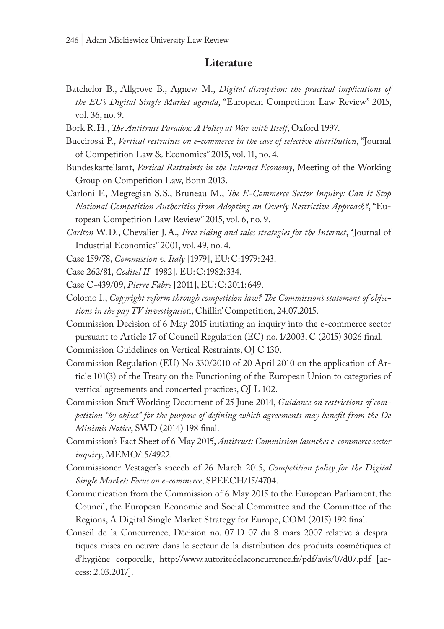## **Literature**

- Batchelor B., Allgrove B., Agnew M., *Digital disruption: the practical implications of the EU's Digital Single Market agenda*, "European Competition Law Review" 2015, vol. 36, no. 9.
- Bork R.H., *The Antitrust Paradox: A Policy at War with Itself*, Oxford 1997.
- Buccirossi P., *Vertical restraints on e-commerce in the case of selective distribution*, "Journal of Competition Law & Economics" 2015, vol. 11, no. 4.
- Bundeskartellamt, *Vertical Restraints in the Internet Economy*, Meeting of the Working Group on Competition Law, Bonn 2013.
- Carloni F., Megregian S.S., Bruneau M., *The E-Commerce Sector Inquiry: Can It Stop National Competition Authorities from Adopting an Overly Restrictive Approach?*, "European Competition Law Review" 2015, vol. 6, no. 9.
- *Carlton* W.D., Chevalier J.A.*, Free riding and sales strategies for the Internet*, "Journal of Industrial Economics" 2001, vol. 49, no. 4.
- Case 159/78, *Commission v. Italy* [1979], EU:C:1979:243.
- Case 262/81, *Coditel II* [1982], EU:C:1982:334.
- Case C-439/09, *Pierre Fabre* [2011], EU:C:2011:649.
- Colomo I., *Copyright reform through competition law? The Commission's statement of objections in the pay TV investigatio*n, Chillin' Competition, 24.07.2015.
- Commission Decision of 6 May 2015 initiating an inquiry into the e-commerce sector pursuant to Article 17 of Council Regulation (EC) no. 1/2003, C (2015) 3026 final.

Commission Guidelines on Vertical Restraints, OJ C 130.

- Commission Regulation (EU) No 330/2010 of 20 April 2010 on the application of Article 101(3) of the Treaty on the Functioning of the European Union to categories of vertical agreements and concerted practices, OJ L 102.
- Commission Staff Working Document of 25 June 2014, *Guidance on restrictions of competition "by object" for the purpose of defining which agreements may benefit from the De Minimis Notice*, SWD (2014) 198 final.
- Commission's Fact Sheet of 6 May 2015, *Antitrust: Commission launches e-commerce sector inquiry*, MEMO/15/4922.
- Commissioner Vestager's speech of 26 March 2015, *Competition policy for the Digital Single Market: Focus on e-commerce*, SPEECH/15/4704.
- Communication from the Commission of 6 May 2015 to the European Parliament, the Council, the European Economic and Social Committee and the Committee of the Regions, A Digital Single Market Strategy for Europe, COM (2015) 192 final.
- Conseil de la Concurrence, Décision no. 07-D-07 du 8 mars 2007 relative à despratiques mises en oeuvre dans le secteur de la distribution des produits cosmétiques et d'hygiène corporelle, http://www.autoritedelaconcurrence.fr/pdf/avis/07d07.pdf [access: 2.03.2017].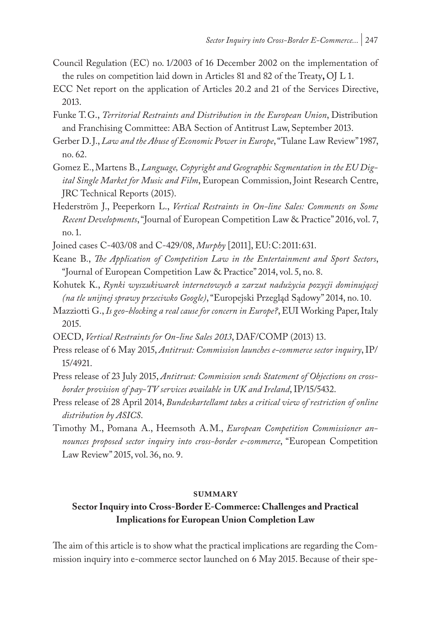- Council Regulation (EC) no. 1/2003 of 16 December 2002 on the implementation of the rules on competition laid down in Articles 81 and 82 of the Treaty**,** OJ L 1.
- ECC Net report on the application of Articles 20.2 and 21 of the Services Directive, 2013.
- Funke T.G., *Territorial Restraints and Distribution in the European Union*, Distribution and Franchising Committee: ABA Section of Antitrust Law, September 2013.
- Gerber D.J., *Law and the Abuse of Economic Power in Europe*, "Tulane Law Review" 1987, no. 62.
- Gomez E., Martens B., *Language, Copyright and Geographic Segmentation in the EU Digital Single Market for Music and Film*, European Commission, Joint Research Centre, JRC Technical Reports (2015).
- Hederström J., Peeperkorn L., *Vertical Restraints in On-line Sales: Comments on Some Recent Developments*, "Journal of European Competition Law & Practice" 2016, vol. 7, no. 1.
- Joined cases C-403/08 and C-429/08, *Murphy* [2011], EU:C:2011:631.
- Keane B., *The Application of Competition Law in the Entertainment and Sport Sectors*, "Journal of European Competition Law & Practice" 2014, vol. 5, no. 8.
- Kohutek K., *Rynki wyszukiwarek internetowych a zarzut nadużycia pozycji dominującej (na tle unijnej sprawy przeciwko Google)*, "Europejski Przegląd Sądowy" 2014, no. 10.
- Mazziotti G., *Is geo-blocking a real cause for concern in Europe?*, EUI Working Paper, Italy 2015.
- OECD, *Vertical Restraints for On-line Sales 2013*, DAF/COMP (2013) 13.
- Press release of 6 May 2015, *Antitrust: Commission launches e-commerce sector inquiry*, IP/ 15/4921.
- Press release of 23 July 2015, *Antitrust: Commission sends Statement of Objections on crossborder provision of pay-TV services available in UK and Ireland*, IP/15/5432.
- Press release of 28 April 2014, *Bundeskartellamt takes a critical view of restriction of online distribution by ASICS*.
- Timothy M., Pomana A., Heemsoth A.M., *European Competition Commissioner announces proposed sector inquiry into cross-border e-commerce*, "European Competition Law Review" 2015, vol. 36, no. 9.

#### **summary**

## **Sector Inquiry into Cross-Border E-Commerce: Challenges and Practical Implications for European Union Completion Law**

The aim of this article is to show what the practical implications are regarding the Commission inquiry into e-commerce sector launched on 6 May 2015. Because of their spe-